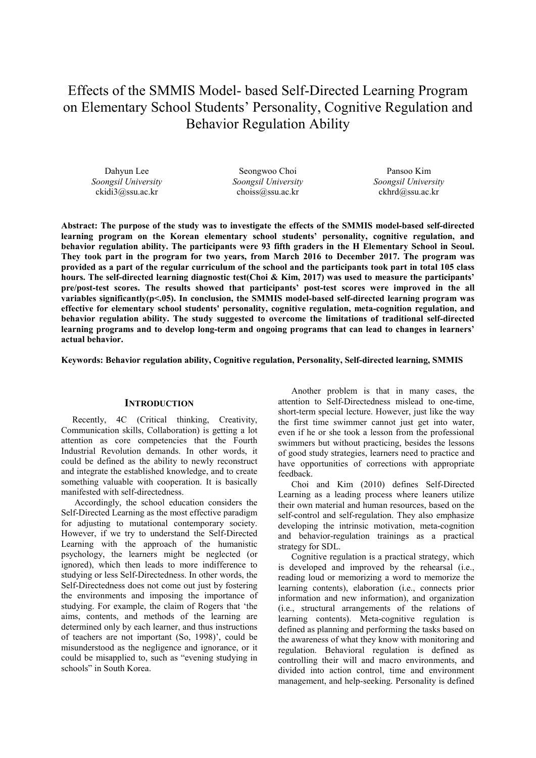# Effects of the SMMIS Model- based Self-Directed Learning Program on Elementary School Students' Personality, Cognitive Regulation and Behavior Regulation Ability

Dahyun Lee *Soongsil University* ckidi3@ssu.ac.kr

Seongwoo Choi *Soongsil University* choiss@ssu.ac.kr

Pansoo Kim *Soongsil University* ckhrd@ssu.ac.kr

**Abstract: The purpose of the study was to investigate the effects of the SMMIS model-based self-directed learning program on the Korean elementary school students' personality, cognitive regulation, and behavior regulation ability. The participants were 93 fifth graders in the H Elementary School in Seoul. They took part in the program for two years, from March 2016 to December 2017. The program was provided as a part of the regular curriculum of the school and the participants took part in total 105 class hours. The self-directed learning diagnostic test(Choi & Kim, 2017) was used to measure the participants' pre/post-test scores. The results showed that participants' post-test scores were improved in the all**  variables significantly(p<.05). In conclusion, the SMMIS model-based self-directed learning program was **effective for elementary school students' personality, cognitive regulation, meta-cognition regulation, and behavior regulation ability. The study suggested to overcome the limitations of traditional self-directed learning programs and to develop long-term and ongoing programs that can lead to changes in learners' actual behavior.** 

**Keywords: Behavior regulation ability, Cognitive regulation, Personality, Self-directed learning, SMMIS** 

#### **INTRODUCTION**

Recently, 4C (Critical thinking, Creativity, Communication skills, Collaboration) is getting a lot attention as core competencies that the Fourth Industrial Revolution demands. In other words, it could be defined as the ability to newly reconstruct and integrate the established knowledge, and to create something valuable with cooperation. It is basically manifested with self-directedness.

 Accordingly, the school education considers the Self-Directed Learning as the most effective paradigm for adjusting to mutational contemporary society. However, if we try to understand the Self-Directed Learning with the approach of the humanistic psychology, the learners might be neglected (or ignored), which then leads to more indifference to studying or less Self-Directedness. In other words, the Self-Directedness does not come out just by fostering the environments and imposing the importance of studying. For example, the claim of Rogers that 'the aims, contents, and methods of the learning are determined only by each learner, and thus instructions of teachers are not important (So, 1998)', could be misunderstood as the negligence and ignorance, or it could be misapplied to, such as "evening studying in schools" in South Korea.

 Another problem is that in many cases, the attention to Self-Directedness mislead to one-time, short-term special lecture. However, just like the way the first time swimmer cannot just get into water, even if he or she took a lesson from the professional swimmers but without practicing, besides the lessons of good study strategies, learners need to practice and have opportunities of corrections with appropriate feedback.

 Choi and Kim (2010) defines Self-Directed Learning as a leading process where leaners utilize their own material and human resources, based on the self-control and self-regulation. They also emphasize developing the intrinsic motivation, meta-cognition and behavior-regulation trainings as a practical strategy for SDL.

 Cognitive regulation is a practical strategy, which is developed and improved by the rehearsal (i.e., reading loud or memorizing a word to memorize the learning contents), elaboration (i.e., connects prior information and new information), and organization (i.e., structural arrangements of the relations of learning contents). Meta-cognitive regulation is defined as planning and performing the tasks based on the awareness of what they know with monitoring and regulation. Behavioral regulation is defined as controlling their will and macro environments, and divided into action control, time and environment management, and help-seeking. Personality is defined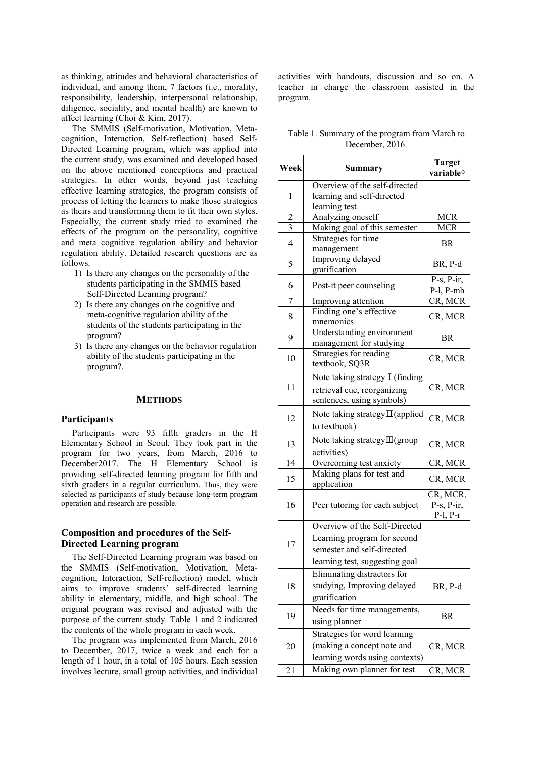as thinking, attitudes and behavioral characteristics of individual, and among them, 7 factors (i.e., morality, responsibility, leadership, interpersonal relationship, diligence, sociality, and mental health) are known to affect learning (Choi & Kim, 2017).

The SMMIS (Self-motivation, Motivation, Metacognition, Interaction, Self-reflection) based Self-Directed Learning program, which was applied into the current study, was examined and developed based on the above mentioned conceptions and practical strategies. In other words, beyond just teaching effective learning strategies, the program consists of process of letting the learners to make those strategies as theirs and transforming them to fit their own styles. Especially, the current study tried to examined the effects of the program on the personality, cognitive and meta cognitive regulation ability and behavior regulation ability. Detailed research questions are as follows.

- 1) Is there any changes on the personality of the students participating in the SMMIS based Self-Directed Learning program?
- 2) Is there any changes on the cognitive and meta-cognitive regulation ability of the students of the students participating in the program?
- 3) Is there any changes on the behavior regulation ability of the students participating in the program?.

# **METHODS**

## **Participants**

Participants were 93 fifth graders in the H Elementary School in Seoul. They took part in the program for two years, from March, 2016 to December2017. The H Elementary School is providing self-directed learning program for fifth and sixth graders in a regular curriculum. Thus, they were selected as participants of study because long-term program operation and research are possible.

# **Composition and procedures of the Self-Directed Learning program**

The Self-Directed Learning program was based on the SMMIS (Self-motivation, Motivation, Metacognition, Interaction, Self-reflection) model, which aims to improve students' self-directed learning ability in elementary, middle, and high school. The original program was revised and adjusted with the purpose of the current study. Table 1 and 2 indicated the contents of the whole program in each week.

The program was implemented from March, 2016 to December, 2017, twice a week and each for a length of 1 hour, in a total of 105 hours. Each session involves lecture, small group activities, and individual

activities with handouts, discussion and so on. A teacher in charge the classroom assisted in the program.

| Table 1. Summary of the program from March to |  |  |
|-----------------------------------------------|--|--|
| December, 2016.                               |  |  |

| Week           | Summary                                                                                                                      | <b>Target</b><br>variable†                 |
|----------------|------------------------------------------------------------------------------------------------------------------------------|--------------------------------------------|
| 1              | Overview of the self-directed<br>learning and self-directed<br>learning test                                                 |                                            |
| 2              | Analyzing oneself                                                                                                            | <b>MCR</b>                                 |
| 3              | Making goal of this semester                                                                                                 | <b>MCR</b>                                 |
| $\overline{4}$ | Strategies for time<br>management                                                                                            | <b>BR</b>                                  |
| 5              | Improving delayed<br>gratification                                                                                           | BR, P-d                                    |
| 6              | Post-it peer counseling                                                                                                      | $P-s$ , $P-ir$ ,<br>$P-I, P-mh$            |
| 7              | Improving attention                                                                                                          | $\overline{\text{CR}}$ , MCR               |
| 8              | Finding one's effective<br>mnemonics                                                                                         | CR, MCR                                    |
| 9              | Understanding environment<br>management for studying                                                                         | BR.                                        |
| 10             | Strategies for reading<br>textbook, SQ3R                                                                                     | CR, MCR                                    |
| 11             | Note taking strategy I (finding<br>retrieval cue, reorganizing<br>sentences, using symbols)                                  | CR, MCR                                    |
| 12             | Note taking strategy $\Pi$ (applied<br>to textbook)                                                                          | CR, MCR                                    |
| 13             | Note taking strategy $\text{III}$ (group<br>activities)                                                                      | CR, MCR                                    |
| 14             | Overcoming test anxiety                                                                                                      | CR, MCR                                    |
| 15             | Making plans for test and<br>application                                                                                     | CR, MCR                                    |
| 16             | Peer tutoring for each subject                                                                                               | CR, MCR,<br>$P-s$ , $P-ir$ ,<br>$P-I, P-r$ |
| 17             | Overview of the Self-Directed<br>Learning program for second<br>semester and self-directed<br>learning test, suggesting goal |                                            |
| 18             | Eliminating distractors for<br>studying, Improving delayed<br>gratification                                                  | BR, P-d                                    |
| 19             | Needs for time managements,<br>using planner                                                                                 | BR                                         |
| 20             | Strategies for word learning<br>(making a concept note and<br>learning words using contexts)                                 | CR, MCR                                    |
| 21             | Making own planner for test                                                                                                  | CR, MCR                                    |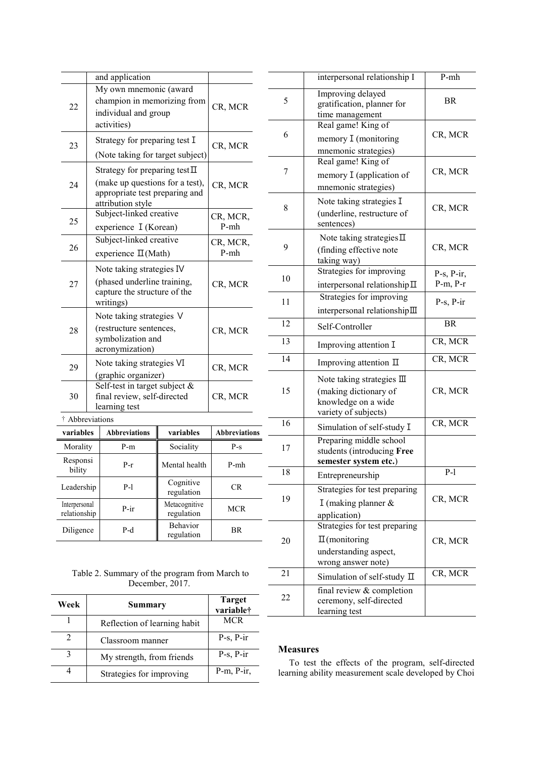|                               |           |  | and application                                                   |                             |                      |
|-------------------------------|-----------|--|-------------------------------------------------------------------|-----------------------------|----------------------|
|                               |           |  | My own mnemonic (award<br>champion in memorizing from             |                             |                      |
|                               | 22        |  | individual and group                                              |                             | CR, MCR              |
|                               |           |  | activities)                                                       |                             |                      |
|                               | 23        |  | Strategy for preparing test I                                     |                             | CR, MCR              |
|                               |           |  | (Note taking for target subject)                                  |                             |                      |
|                               |           |  | Strategy for preparing test $\Pi$                                 |                             |                      |
|                               | 24        |  | (make up questions for a test),<br>appropriate test preparing and |                             | CR, MCR              |
|                               |           |  | attribution style<br>Subject-linked creative                      |                             |                      |
|                               | 25        |  | experience I (Korean)                                             |                             | CR, MCR,<br>$P-mh$   |
|                               |           |  | Subject-linked creative                                           |                             | CR, MCR,             |
|                               | 26        |  | experience II(Math)                                               |                             | $P-mh$               |
|                               |           |  | Note taking strategies IV                                         |                             |                      |
|                               | 27        |  | (phased underline training,<br>capture the structure of the       | CR, MCR                     |                      |
|                               |           |  | writings)                                                         |                             |                      |
|                               |           |  | Note taking strategies V                                          |                             |                      |
|                               | 28        |  | (restructure sentences,<br>symbolization and                      | CR, MCR                     |                      |
|                               |           |  | acronymization)                                                   |                             |                      |
|                               | 29        |  | Note taking strategies VI                                         |                             | CR, MCR              |
|                               |           |  | (graphic organizer)<br>Self-test in target subject &              |                             |                      |
|                               | 30        |  | final review, self-directed                                       |                             | CR, MCR              |
| learning test                 |           |  |                                                                   |                             |                      |
| † Abbreviations               |           |  |                                                                   |                             |                      |
| variables                     |           |  | <b>Abbreviations</b>                                              | variables                   | <b>Abbreviations</b> |
| Morality                      |           |  | P-m                                                               | Sociality                   | P-s                  |
| Responsi<br>bility            |           |  | $P-r$                                                             | Mental health               | $P-mh$               |
| Leadership                    |           |  | $P-1$                                                             | Cognitive<br>regulation     |                      |
| Interpersonal<br>relationship |           |  | P-ir                                                              | Metacognitive<br>regulation | <b>MCR</b>           |
|                               |           |  |                                                                   |                             |                      |
|                               | Diligence |  | P-d                                                               | Behavior<br>regulation      | BR                   |

| Table 2. Summary of the program from March to |
|-----------------------------------------------|
| December, 2017.                               |

| Week | Summary                      | <b>Target</b><br>variable <sup>†</sup> |
|------|------------------------------|----------------------------------------|
|      | Reflection of learning habit | <b>MCR</b>                             |
| 2    | Classroom manner             | $P-s$ , $P-ir$                         |
|      | My strength, from friends    | $P-s$ , $P-ir$                         |
|      | Strategies for improving     | $P-m$ , $P-ir$ ,                       |

|    | interpersonal relationship I                                                                                 | P-mh                              |
|----|--------------------------------------------------------------------------------------------------------------|-----------------------------------|
| 5  | Improving delayed<br>gratification, planner for<br>time management                                           | BR                                |
| 6  | Real game! King of<br>memory I (monitoring<br>mnemonic strategies)                                           | CR, MCR                           |
| 7  | Real game! King of<br>memory I (application of<br>mnemonic strategies)                                       | CR, MCR                           |
| 8  | Note taking strategies I<br>(underline, restructure of<br>sentences)                                         | CR, MCR                           |
| 9  | Note taking strategies $\Pi$<br>(finding effective note<br>taking way)                                       | CR, MCR                           |
| 10 | Strategies for improving<br>interpersonal relationship $\Pi$                                                 | $P-s$ , $P-ir$ ,<br>$P-m$ , $P-r$ |
| 11 | Strategies for improving<br>interpersonal relationship III                                                   | $P-s$ , $P-ir$                    |
| 12 | Self-Controller                                                                                              | BR                                |
| 13 | Improving attention I                                                                                        | CR, MCR                           |
| 14 | Improving attention $\Pi$                                                                                    | CR, MCR                           |
| 15 | Note taking strategies $\mathbb{II}$<br>(making dictionary of<br>knowledge on a wide<br>variety of subjects) | CR, MCR                           |
| 16 | Simulation of self-study I                                                                                   | CR, MCR                           |
| 17 | Preparing middle school<br>students (introducing Free<br>semester system etc.)                               |                                   |
| 18 | Entrepreneurship                                                                                             | P-l                               |
| 19 | Strategies for test preparing<br>I (making planner $\&$<br>application)                                      | CR, MCR                           |
| 20 | Strategies for test preparing<br>$\Pi$ (monitoring<br>understanding aspect,<br>wrong answer note)            | CR, MCR                           |
| 21 | Simulation of self-study $\Pi$                                                                               | CR, MCR                           |
| 22 | final review & completion<br>ceremony, self-directed<br>learning test                                        |                                   |

# **Measures**

To test the effects of the program, self-directed learning ability measurement scale developed by Choi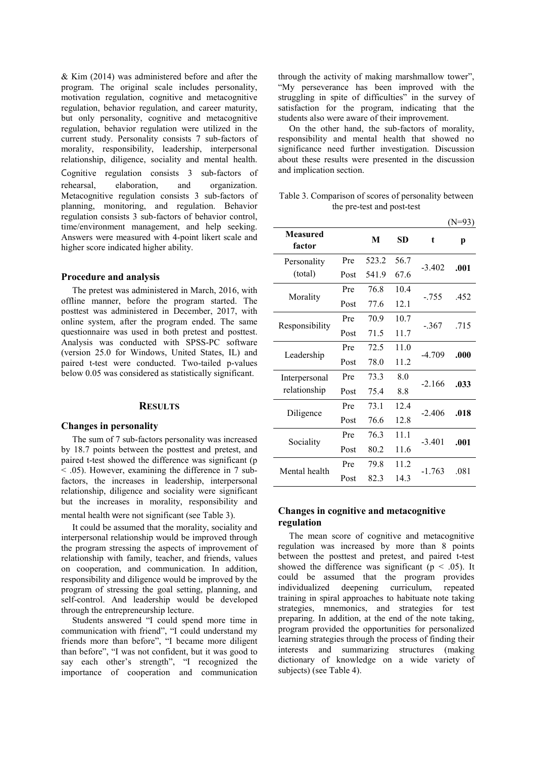& Kim (2014) was administered before and after the program. The original scale includes personality, motivation regulation, cognitive and metacognitive regulation, behavior regulation, and career maturity, but only personality, cognitive and metacognitive regulation, behavior regulation were utilized in the current study. Personality consists 7 sub-factors of morality, responsibility, leadership, interpersonal relationship, diligence, sociality and mental health. Cognitive regulation consists 3 sub-factors of rehearsal, elaboration, and organization. Metacognitive regulation consists 3 sub-factors of planning, monitoring, and regulation. Behavior regulation consists 3 sub-factors of behavior control, time/environment management, and help seeking. Answers were measured with 4-point likert scale and higher score indicated higher ability.

## **Procedure and analysis**

The pretest was administered in March, 2016, with offline manner, before the program started. The posttest was administered in December, 2017, with online system, after the program ended. The same questionnaire was used in both pretest and posttest. Analysis was conducted with SPSS-PC software (version 25.0 for Windows, United States, IL) and paired t-test were conducted. Two-tailed p-values below 0.05 was considered as statistically significant.

#### **RESULTS**

#### **Changes in personality**

The sum of 7 sub-factors personality was increased by 18.7 points between the posttest and pretest, and paired t-test showed the difference was significant (p  $\sim$  .05). However, examining the difference in 7 subfactors, the increases in leadership, interpersonal relationship, diligence and sociality were significant but the increases in morality, responsibility and

mental health were not significant (see Table 3).

It could be assumed that the morality, sociality and interpersonal relationship would be improved through the program stressing the aspects of improvement of relationship with family, teacher, and friends, values on cooperation, and communication. In addition, responsibility and diligence would be improved by the program of stressing the goal setting, planning, and self-control. And leadership would be developed through the entrepreneurship lecture.

Students answered "I could spend more time in communication with friend", "I could understand my friends more than before", "I became more diligent than before", "I was not confident, but it was good to say each other's strength", "I recognized the importance of cooperation and communication through the activity of making marshmallow tower", "My perseverance has been improved with the struggling in spite of difficulties" in the survey of satisfaction for the program, indicating that the students also were aware of their improvement.

On the other hand, the sub-factors of morality, responsibility and mental health that showed no significance need further investigation. Discussion about these results were presented in the discussion and implication section.

Table 3. Comparison of scores of personality between the pre-test and post-test

|      |       |      |   | $(N=93)$                                                                                   |
|------|-------|------|---|--------------------------------------------------------------------------------------------|
|      | M     | SD   | t | р                                                                                          |
| Pre  | 523.2 | 56.7 |   | .001                                                                                       |
| Post | 541.9 | 67.6 |   |                                                                                            |
| Pre  | 76.8  | 10.4 |   | .452                                                                                       |
| Post | 77.6  | 12.1 |   |                                                                                            |
| Pre  | 70.9  | 10.7 |   | .715                                                                                       |
| Post | 71.5  | 11.7 |   |                                                                                            |
| Pre  | 72.5  | 11.0 |   | .000                                                                                       |
| Post | 78.0  | 11.2 |   |                                                                                            |
| Pre  | 73.3  | 8.0  |   | .033                                                                                       |
| Post | 75.4  | 8.8  |   |                                                                                            |
| Pre  | 73.1  | 12.4 |   | .018                                                                                       |
| Post | 76.6  | 12.8 |   |                                                                                            |
| Pre  | 76.3  | 11.1 |   | .001                                                                                       |
| Post | 80.2  | 11.6 |   |                                                                                            |
| Pre  | 79.8  | 11.2 |   | .081                                                                                       |
| Post | 82.3  | 14.3 |   |                                                                                            |
|      |       |      |   | $-3.402$<br>$-.755$<br>$-.367$<br>$-4.709$<br>$-2.166$<br>$-2.406$<br>$-3.401$<br>$-1.763$ |

## **Changes in cognitive and metacognitive regulation**

The mean score of cognitive and metacognitive regulation was increased by more than 8 points between the posttest and pretest, and paired t-test showed the difference was significant ( $p < .05$ ). It could be assumed that the program provides individualized deepening curriculum, repeated training in spiral approaches to habituate note taking strategies, mnemonics, and strategies for test preparing. In addition, at the end of the note taking, program provided the opportunities for personalized learning strategies through the process of finding their interests and summarizing structures (making dictionary of knowledge on a wide variety of subjects) (see Table 4).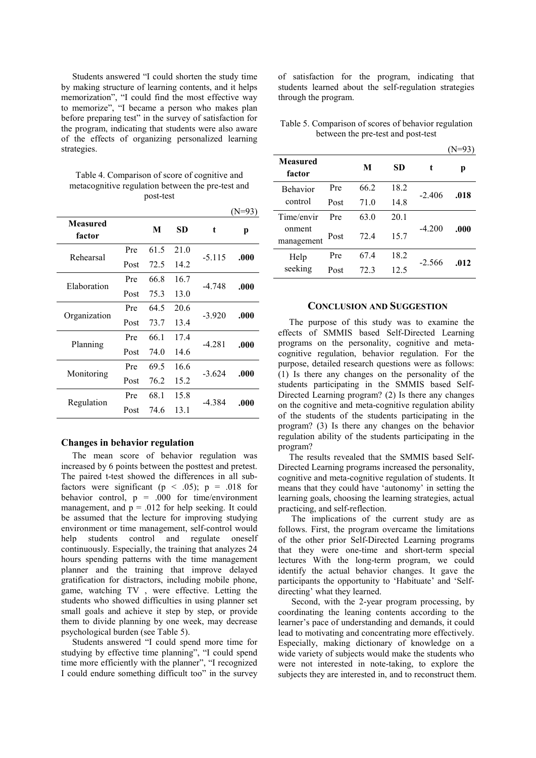Students answered "I could shorten the study time by making structure of learning contents, and it helps memorization", "I could find the most effective way to memorize", "I became a person who makes plan before preparing test" in the survey of satisfaction for the program, indicating that students were also aware of the effects of organizing personalized learning strategies.

Table 4. Comparison of score of cognitive and metacognitive regulation between the pre-test and post-test

|                           |      |      |      |          | (N=93) |
|---------------------------|------|------|------|----------|--------|
| <b>Measured</b><br>factor |      | M    | SD.  | t        | р      |
| Rehearsal                 | Pre  | 61.5 | 21.0 | $-5.115$ | .000   |
|                           | Post | 72.5 | 14.2 |          |        |
| Elaboration               | Pre  | 66.8 | 16.7 | $-4.748$ | .000   |
|                           | Post | 75.3 | 13.0 |          |        |
|                           | Pre  | 64.5 | 20.6 | $-3.920$ | .000   |
| Organization              | Post | 73.7 | 13.4 |          |        |
|                           | Pre  | 66.1 | 17.4 | $-4.281$ | .000   |
| Planning                  | Post | 74.0 | 14.6 |          |        |
|                           | Pre  | 69.5 | 16.6 | $-3.624$ | .000   |
| Monitoring                | Post | 76.2 | 15.2 |          |        |
|                           | Pre  | 68.1 | 15.8 | -4.384   |        |
| Regulation                | Post | 74.6 | 13.1 |          | .000   |
|                           |      |      |      |          |        |

## **Changes in behavior regulation**

The mean score of behavior regulation was increased by 6 points between the posttest and pretest. The paired t-test showed the differences in all subfactors were significant ( $p \le .05$ );  $p = .018$  for behavior control,  $p = .000$  for time/environment management, and  $p = .012$  for help seeking. It could be assumed that the lecture for improving studying environment or time management, self-control would help students control and regulate oneself continuously. Especially, the training that analyzes 24 hours spending patterns with the time management planner and the training that improve delayed gratification for distractors, including mobile phone, game, watching TV , were effective. Letting the students who showed difficulties in using planner set small goals and achieve it step by step, or provide them to divide planning by one week, may decrease psychological burden (see Table 5).

Students answered "I could spend more time for studying by effective time planning", "I could spend time more efficiently with the planner", "I recognized I could endure something difficult too" in the survey

of satisfaction for the program, indicating that students learned about the self-regulation strategies through the program.

Table 5. Comparison of scores of behavior regulation between the pre-test and post-test

|                                    |      |      |      |          | $(N=93)$ |
|------------------------------------|------|------|------|----------|----------|
| <b>Measured</b><br>factor          |      | М    | SD   | t        | р        |
| <b>Behavior</b>                    | Pre  | 66.2 | 18.2 | $-2.406$ | .018     |
| control                            | Post | 71.0 | 14.8 |          |          |
| Time/envir<br>onment<br>management | Pre  | 63.0 | 20.1 |          |          |
|                                    | Post | 72.4 | 15.7 | $-4.200$ | .000     |
| Help                               | Pre  | 67.4 | 18.2 | $-2.566$ | .012     |
| seeking                            | Post | 72.3 | 12.5 |          |          |

## **CONCLUSION AND SUGGESTION**

The purpose of this study was to examine the effects of SMMIS based Self-Directed Learning programs on the personality, cognitive and metacognitive regulation, behavior regulation. For the purpose, detailed research questions were as follows: (1) Is there any changes on the personality of the students participating in the SMMIS based Self-Directed Learning program? (2) Is there any changes on the cognitive and meta-cognitive regulation ability of the students of the students participating in the program? (3) Is there any changes on the behavior regulation ability of the students participating in the program?

The results revealed that the SMMIS based Self-Directed Learning programs increased the personality, cognitive and meta-cognitive regulation of students. It means that they could have 'autonomy' in setting the learning goals, choosing the learning strategies, actual practicing, and self-reflection.

 The implications of the current study are as follows. First, the program overcame the limitations of the other prior Self-Directed Learning programs that they were one-time and short-term special lectures With the long-term program, we could identify the actual behavior changes. It gave the participants the opportunity to 'Habituate' and 'Selfdirecting' what they learned.

 Second, with the 2-year program processing, by coordinating the leaning contents according to the learner's pace of understanding and demands, it could lead to motivating and concentrating more effectively. Especially, making dictionary of knowledge on a wide variety of subjects would make the students who were not interested in note-taking, to explore the subjects they are interested in, and to reconstruct them.